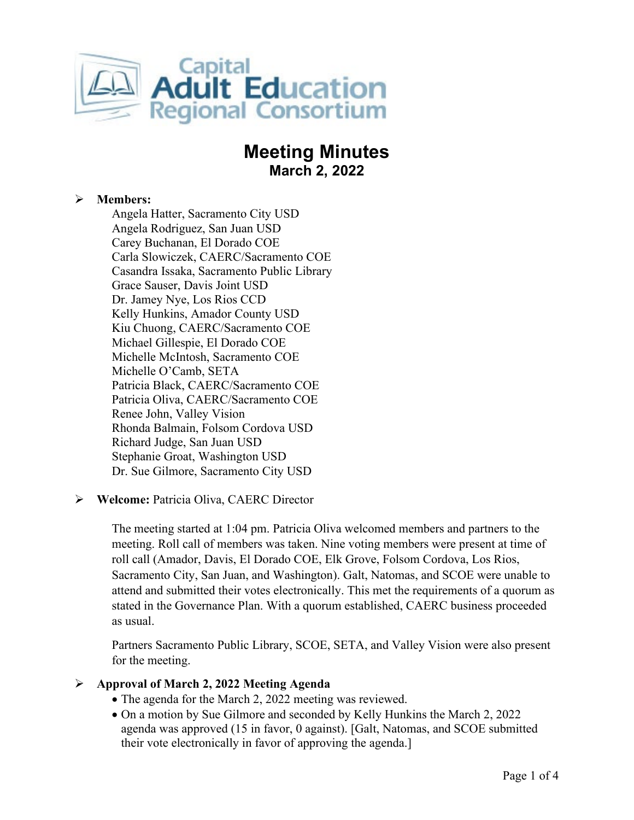

# **Meeting Minutes March 2, 2022**

# **Members:**

Angela Hatter, Sacramento City USD Angela Rodriguez, San Juan USD Carey Buchanan, El Dorado COE Carla Slowiczek, CAERC/Sacramento COE Casandra Issaka, Sacramento Public Library Grace Sauser, Davis Joint USD Dr. Jamey Nye, Los Rios CCD Kelly Hunkins, Amador County USD Kiu Chuong, CAERC/Sacramento COE Michael Gillespie, El Dorado COE Michelle McIntosh, Sacramento COE Michelle O'Camb, SETA Patricia Black, CAERC/Sacramento COE Patricia Oliva, CAERC/Sacramento COE Renee John, Valley Vision Rhonda Balmain, Folsom Cordova USD Richard Judge, San Juan USD Stephanie Groat, Washington USD Dr. Sue Gilmore, Sacramento City USD

# **Welcome:** Patricia Oliva, CAERC Director

The meeting started at 1:04 pm. Patricia Oliva welcomed members and partners to the meeting. Roll call of members was taken. Nine voting members were present at time of roll call (Amador, Davis, El Dorado COE, Elk Grove, Folsom Cordova, Los Rios, Sacramento City, San Juan, and Washington). Galt, Natomas, and SCOE were unable to attend and submitted their votes electronically. This met the requirements of a quorum as stated in the Governance Plan. With a quorum established, CAERC business proceeded as usual.

Partners Sacramento Public Library, SCOE, SETA, and Valley Vision were also present for the meeting.

#### **Approval of March 2, 2022 Meeting Agenda**

- The agenda for the March 2, 2022 meeting was reviewed.
- On a motion by Sue Gilmore and seconded by Kelly Hunkins the March 2, 2022 agenda was approved (15 in favor, 0 against). [Galt, Natomas, and SCOE submitted their vote electronically in favor of approving the agenda.]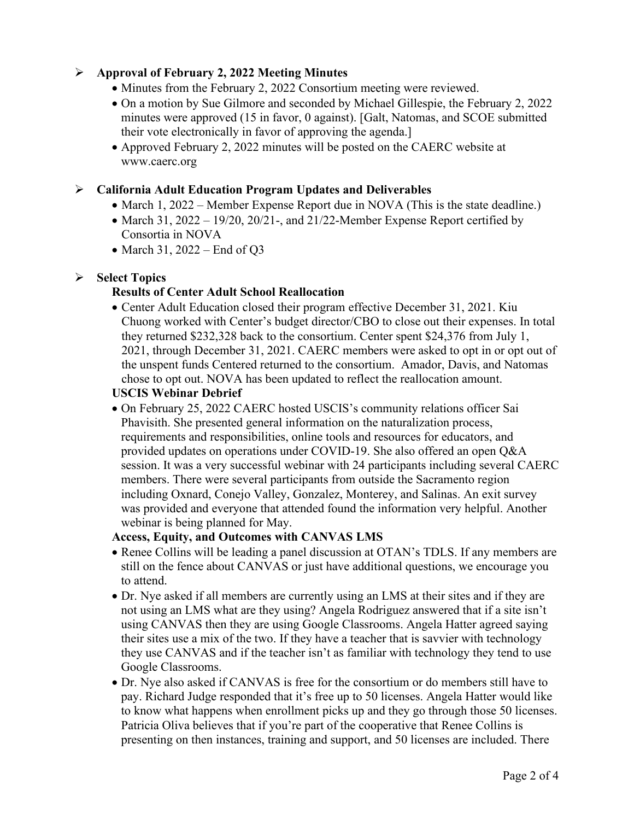# **Approval of February 2, 2022 Meeting Minutes**

- Minutes from the February 2, 2022 Consortium meeting were reviewed.
- On a motion by Sue Gilmore and seconded by Michael Gillespie, the February 2, 2022 minutes were approved (15 in favor, 0 against). [Galt, Natomas, and SCOE submitted their vote electronically in favor of approving the agenda.]
- Approved February 2, 2022 minutes will be posted on the CAERC website at www.caerc.org

## **California Adult Education Program Updates and Deliverables**

- March 1, 2022 Member Expense Report due in NOVA (This is the state deadline.)
- March 31, 2022 19/20, 20/21-, and 21/22-Member Expense Report certified by Consortia in NOVA
- March 31, 2022 End of Q3

## **Select Topics**

## **Results of Center Adult School Reallocation**

• Center Adult Education closed their program effective December 31, 2021. Kiu Chuong worked with Center's budget director/CBO to close out their expenses. In total they returned \$232,328 back to the consortium. Center spent \$24,376 from July 1, 2021, through December 31, 2021. CAERC members were asked to opt in or opt out of the unspent funds Centered returned to the consortium. Amador, Davis, and Natomas chose to opt out. NOVA has been updated to reflect the reallocation amount.

#### **USCIS Webinar Debrief**

• On February 25, 2022 CAERC hosted USCIS's community relations officer Sai Phavisith. She presented general information on the naturalization process, requirements and responsibilities, online tools and resources for educators, and provided updates on operations under COVID-19. She also offered an open Q&A session. It was a very successful webinar with 24 participants including several CAERC members. There were several participants from outside the Sacramento region including Oxnard, Conejo Valley, Gonzalez, Monterey, and Salinas. An exit survey was provided and everyone that attended found the information very helpful. Another webinar is being planned for May.

#### **Access, Equity, and Outcomes with CANVAS LMS**

- Renee Collins will be leading a panel discussion at OTAN's TDLS. If any members are still on the fence about CANVAS or just have additional questions, we encourage you to attend.
- Dr. Nye asked if all members are currently using an LMS at their sites and if they are not using an LMS what are they using? Angela Rodriguez answered that if a site isn't using CANVAS then they are using Google Classrooms. Angela Hatter agreed saying their sites use a mix of the two. If they have a teacher that is savvier with technology they use CANVAS and if the teacher isn't as familiar with technology they tend to use Google Classrooms.
- Dr. Nye also asked if CANVAS is free for the consortium or do members still have to pay. Richard Judge responded that it's free up to 50 licenses. Angela Hatter would like to know what happens when enrollment picks up and they go through those 50 licenses. Patricia Oliva believes that if you're part of the cooperative that Renee Collins is presenting on then instances, training and support, and 50 licenses are included. There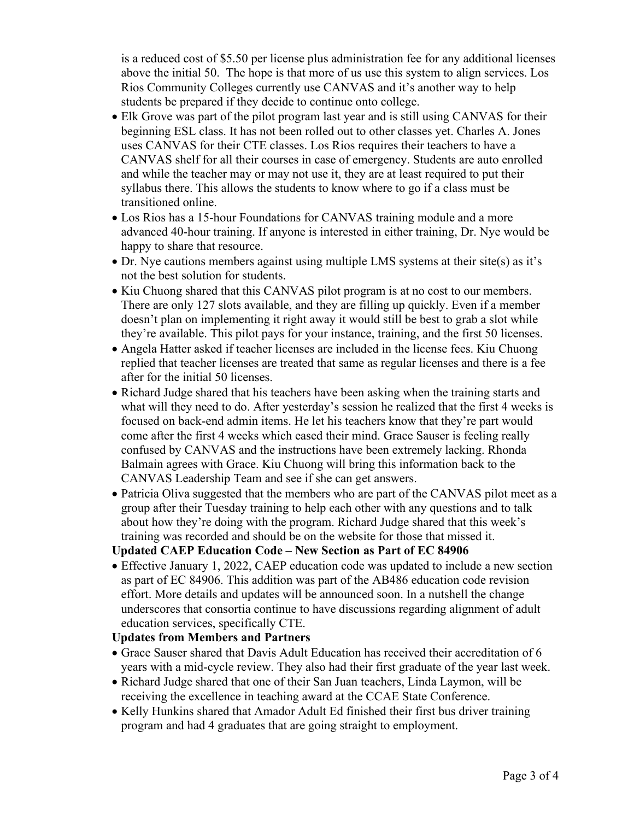is a reduced cost of \$5.50 per license plus administration fee for any additional licenses above the initial 50. The hope is that more of us use this system to align services. Los Rios Community Colleges currently use CANVAS and it's another way to help students be prepared if they decide to continue onto college.

- Elk Grove was part of the pilot program last year and is still using CANVAS for their beginning ESL class. It has not been rolled out to other classes yet. Charles A. Jones uses CANVAS for their CTE classes. Los Rios requires their teachers to have a CANVAS shelf for all their courses in case of emergency. Students are auto enrolled and while the teacher may or may not use it, they are at least required to put their syllabus there. This allows the students to know where to go if a class must be transitioned online.
- Los Rios has a 15-hour Foundations for CANVAS training module and a more advanced 40-hour training. If anyone is interested in either training, Dr. Nye would be happy to share that resource.
- Dr. Nye cautions members against using multiple LMS systems at their site(s) as it's not the best solution for students.
- Kiu Chuong shared that this CANVAS pilot program is at no cost to our members. There are only 127 slots available, and they are filling up quickly. Even if a member doesn't plan on implementing it right away it would still be best to grab a slot while they're available. This pilot pays for your instance, training, and the first 50 licenses.
- Angela Hatter asked if teacher licenses are included in the license fees. Kiu Chuong replied that teacher licenses are treated that same as regular licenses and there is a fee after for the initial 50 licenses.
- Richard Judge shared that his teachers have been asking when the training starts and what will they need to do. After yesterday's session he realized that the first 4 weeks is focused on back-end admin items. He let his teachers know that they're part would come after the first 4 weeks which eased their mind. Grace Sauser is feeling really confused by CANVAS and the instructions have been extremely lacking. Rhonda Balmain agrees with Grace. Kiu Chuong will bring this information back to the CANVAS Leadership Team and see if she can get answers.
- Patricia Oliva suggested that the members who are part of the CANVAS pilot meet as a group after their Tuesday training to help each other with any questions and to talk about how they're doing with the program. Richard Judge shared that this week's training was recorded and should be on the website for those that missed it.

#### **Updated CAEP Education Code – New Section as Part of EC 84906**

• Effective January 1, 2022, CAEP education code was updated to include a new section as part of EC 84906. This addition was part of the AB486 education code revision effort. More details and updates will be announced soon. In a nutshell the change underscores that consortia continue to have discussions regarding alignment of adult education services, specifically CTE.

# **Updates from Members and Partners**

- Grace Sauser shared that Davis Adult Education has received their accreditation of 6 years with a mid-cycle review. They also had their first graduate of the year last week.
- Richard Judge shared that one of their San Juan teachers, Linda Laymon, will be receiving the excellence in teaching award at the CCAE State Conference.
- Kelly Hunkins shared that Amador Adult Ed finished their first bus driver training program and had 4 graduates that are going straight to employment.